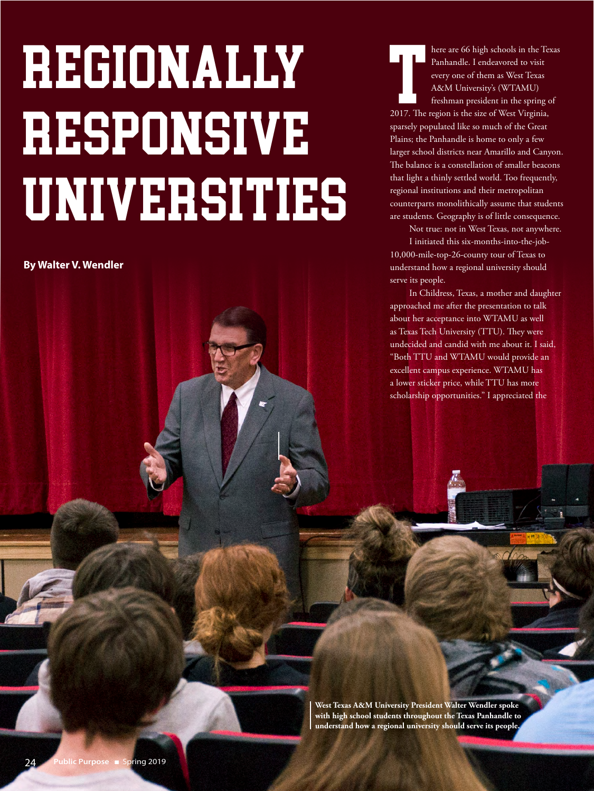# REGIONALLY RESPONSIVE UNIVERSITIES

**By Walter V. Wendler**

The region is the size of them as West Texas<br>
Panhandle. I endeavored to visit<br>
every one of them as West Texas<br>
A&M University's (WTAMU)<br>
freshman president in the spring c<br>
2017. The region is the size of West Virginia, here are 66 high schools in the Texas Panhandle. I endeavored to visit every one of them as West Texas A&M University's (WTAMU) freshman president in the spring of sparsely populated like so much of the Great Plains; the Panhandle is home to only a few larger school districts near Amarillo and Canyon. The balance is a constellation of smaller beacons that light a thinly settled world. Too frequently, regional institutions and their metropolitan counterparts monolithically assume that students are students. Geography is of little consequence.

> Not true: not in West Texas, not anywhere. I initiated this six-months-into-the-job-

10,000-mile-top-26-county tour of Texas to understand how a regional university should serve its people.

In Childress, Texas, a mother and daughter approached me after the presentation to talk about her acceptance into WTAMU as well as Texas Tech University (TTU). They were undecided and candid with me about it. I said, "Both TTU and WTAMU would provide an excellent campus experience. WTAMU has a lower sticker price, while TTU has more scholarship opportunities." I appreciated the

**West Texas A&M University President Walter Wendler spoke with high school students throughout the Texas Panhandle to understand how a regional university should serve its people.**